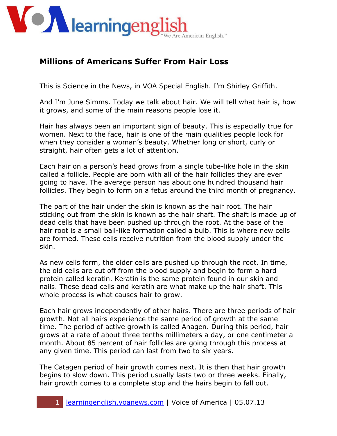

## **Millions of Americans Suffer From Hair Loss**

This is Science in the News, in VOA Special English. I'm Shirley Griffith.

And I'm June Simms. Today we talk about hair. We will tell what hair is, how it grows, and some of the main reasons people lose it.

Hair has always been an important sign of beauty. This is especially true for women. Next to the face, hair is one of the main qualities people look for when they consider a woman's beauty. Whether long or short, curly or straight, hair often gets a lot of attention.

Each hair on a person's head grows from a single tube-like hole in the skin called a follicle. People are born with all of the hair follicles they are ever going to have. The average person has about one hundred thousand hair follicles. They begin to form on a fetus around the third month of pregnancy.

The part of the hair under the skin is known as the hair root. The hair sticking out from the skin is known as the hair shaft. The shaft is made up of dead cells that have been pushed up through the root. At the base of the hair root is a small ball-like formation called a bulb. This is where new cells are formed. These cells receive nutrition from the blood supply under the skin.

As new cells form, the older cells are pushed up through the root. In time, the old cells are cut off from the blood supply and begin to form a hard protein called keratin. Keratin is the same protein found in our skin and nails. These dead cells and keratin are what make up the hair shaft. This whole process is what causes hair to grow.

Each hair grows independently of other hairs. There are three periods of hair growth. Not all hairs experience the same period of growth at the same time. The period of active growth is called Anagen. During this period, hair grows at a rate of about three tenths millimeters a day, or one centimeter a month. About 85 percent of hair follicles are going through this process at any given time. This period can last from two to six years.

The Catagen period of hair growth comes next. It is then that hair growth begins to slow down. This period usually lasts two or three weeks. Finally, hair growth comes to a complete stop and the hairs begin to fall out.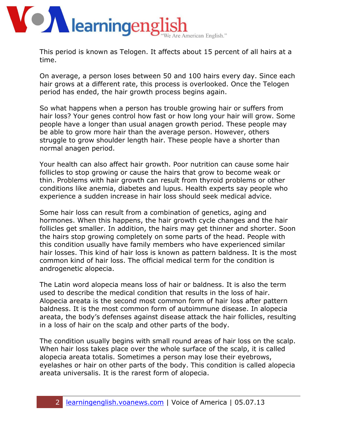

This period is known as Telogen. It affects about 15 percent of all hairs at a time.

On average, a person loses between 50 and 100 hairs every day. Since each hair grows at a different rate, this process is overlooked. Once the Telogen period has ended, the hair growth process begins again.

So what happens when a person has trouble growing hair or suffers from hair loss? Your genes control how fast or how long your hair will grow. Some people have a longer than usual anagen growth period. These people may be able to grow more hair than the average person. However, others struggle to grow shoulder length hair. These people have a shorter than normal anagen period.

Your health can also affect hair growth. Poor nutrition can cause some hair follicles to stop growing or cause the hairs that grow to become weak or thin. Problems with hair growth can result from thyroid problems or other conditions like anemia, diabetes and lupus. Health experts say people who experience a sudden increase in hair loss should seek medical advice.

Some hair loss can result from a combination of genetics, aging and hormones. When this happens, the hair growth cycle changes and the hair follicles get smaller. In addition, the hairs may get thinner and shorter. Soon the hairs stop growing completely on some parts of the head. People with this condition usually have family members who have experienced similar hair losses. This kind of hair loss is known as pattern baldness. It is the most common kind of hair loss. The official medical term for the condition is androgenetic alopecia.

The Latin word alopecia means loss of hair or baldness. It is also the term used to describe the medical condition that results in the loss of hair. Alopecia areata is the second most common form of hair loss after pattern baldness. It is the most common form of autoimmune disease. In alopecia areata, the body's defenses against disease attack the hair follicles, resulting in a loss of hair on the scalp and other parts of the body.

The condition usually begins with small round areas of hair loss on the scalp. When hair loss takes place over the whole surface of the scalp, it is called alopecia areata totalis. Sometimes a person may lose their eyebrows, eyelashes or hair on other parts of the body. This condition is called alopecia areata universalis. It is the rarest form of alopecia.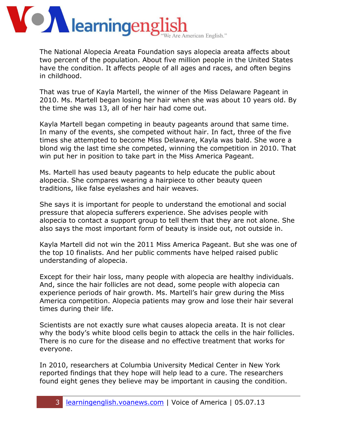

The National Alopecia Areata Foundation says alopecia areata affects about two percent of the population. About five million people in the United States have the condition. It affects people of all ages and races, and often begins in childhood.

That was true of Kayla Martell, the winner of the Miss Delaware Pageant in 2010. Ms. Martell began losing her hair when she was about 10 years old. By the time she was 13, all of her hair had come out.

Kayla Martell began competing in beauty pageants around that same time. In many of the events, she competed without hair. In fact, three of the five times she attempted to become Miss Delaware, Kayla was bald. She wore a blond wig the last time she competed, winning the competition in 2010. That win put her in position to take part in the Miss America Pageant.

Ms. Martell has used beauty pageants to help educate the public about alopecia. She compares wearing a hairpiece to other beauty queen traditions, like false eyelashes and hair weaves.

She says it is important for people to understand the emotional and social pressure that alopecia sufferers experience. She advises people with alopecia to contact a support group to tell them that they are not alone. She also says the most important form of beauty is inside out, not outside in.

Kayla Martell did not win the 2011 Miss America Pageant. But she was one of the top 10 finalists. And her public comments have helped raised public understanding of alopecia.

Except for their hair loss, many people with alopecia are healthy individuals. And, since the hair follicles are not dead, some people with alopecia can experience periods of hair growth. Ms. Martell's hair grew during the Miss America competition. Alopecia patients may grow and lose their hair several times during their life.

Scientists are not exactly sure what causes alopecia areata. It is not clear why the body's white blood cells begin to attack the cells in the hair follicles. There is no cure for the disease and no effective treatment that works for everyone.

In 2010, researchers at Columbia University Medical Center in New York reported findings that they hope will help lead to a cure. The researchers found eight genes they believe may be important in causing the condition.